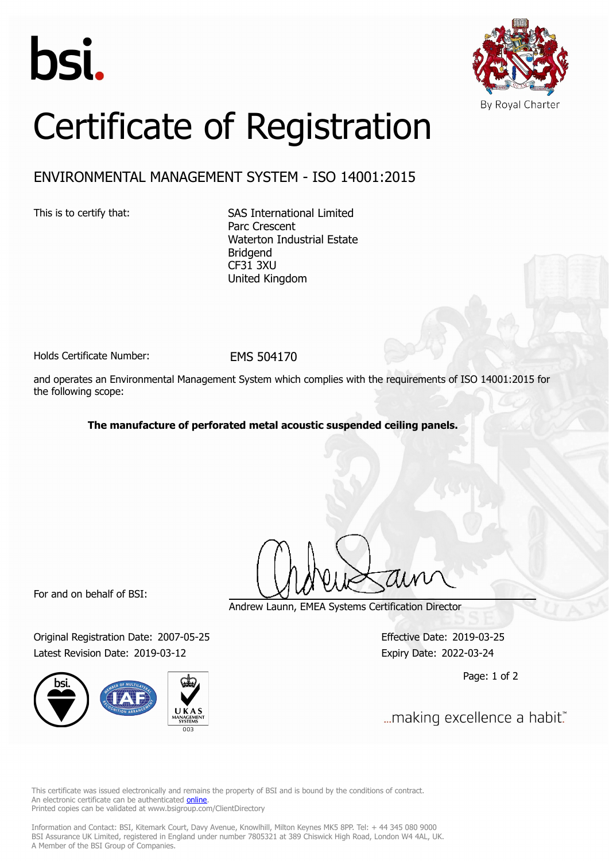



## Certificate of Registration

## ENVIRONMENTAL MANAGEMENT SYSTEM - ISO 14001:2015

This is to certify that: SAS International Limited Parc Crescent Waterton Industrial Estate Bridgend CF31 3XU United Kingdom

Holds Certificate Number: FMS 504170

and operates an Environmental Management System which complies with the requirements of ISO 14001:2015 for the following scope:

**The manufacture of perforated metal acoustic suspended ceiling panels.**

For and on behalf of BSI:

Original Registration Date: 2007-05-25 Effective Date: 2019-03-25 Latest Revision Date: 2019-03-12 Expiry Date: 2022-03-24



Andrew Launn, EMEA Systems Certification Director

Page: 1 of 2

... making excellence a habit."

This certificate was issued electronically and remains the property of BSI and is bound by the conditions of contract. An electronic certificate can be authenticated **[online](https://pgplus.bsigroup.com/CertificateValidation/CertificateValidator.aspx?CertificateNumber=EMS+504170&ReIssueDate=12%2f03%2f2019&Template=uk)**. Printed copies can be validated at www.bsigroup.com/ClientDirectory

Information and Contact: BSI, Kitemark Court, Davy Avenue, Knowlhill, Milton Keynes MK5 8PP. Tel: + 44 345 080 9000 BSI Assurance UK Limited, registered in England under number 7805321 at 389 Chiswick High Road, London W4 4AL, UK. A Member of the BSI Group of Companies.